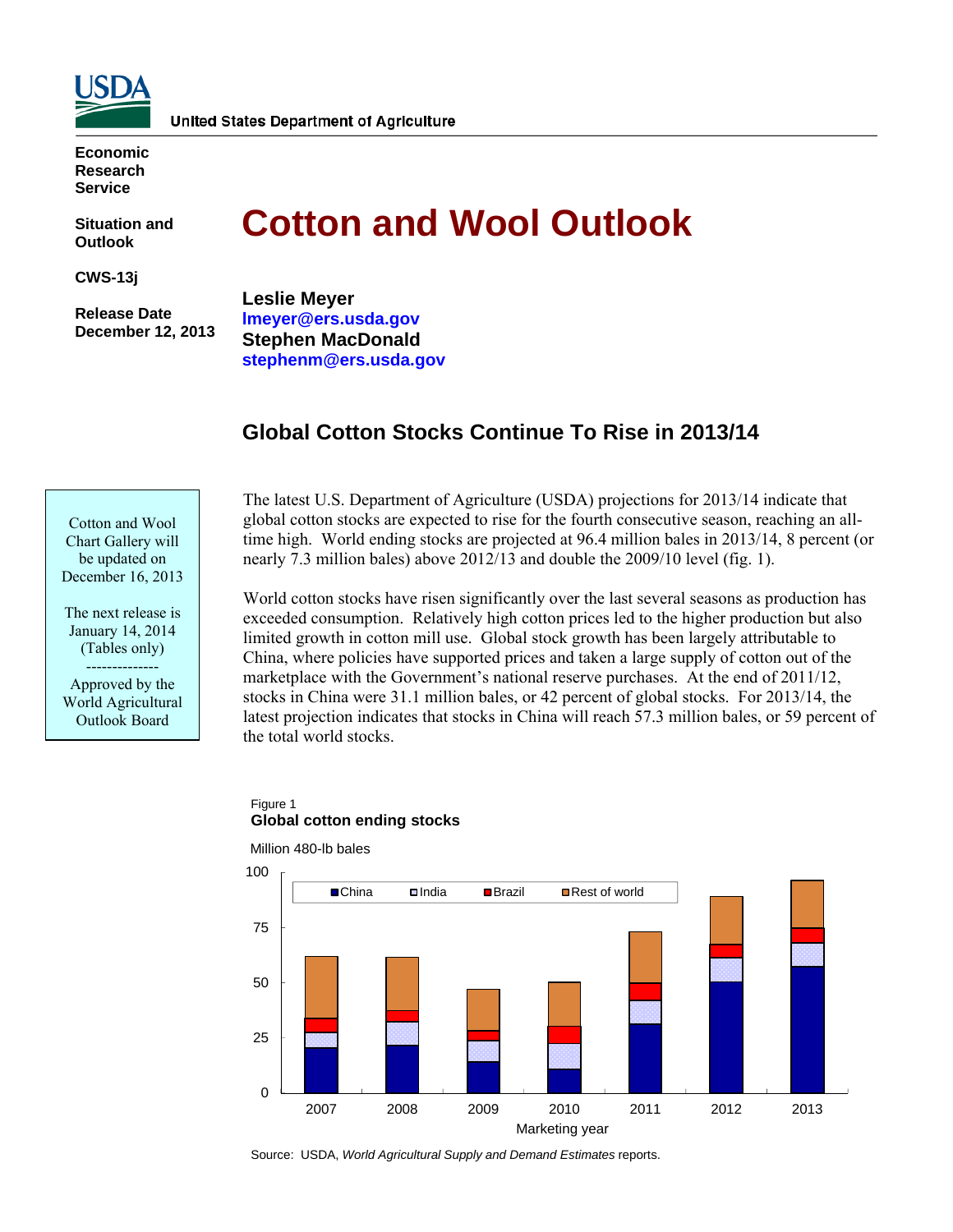

**Economic Research Service** 

**Situation and Outlook** 

**CWS-13j** 

 **Release Date December 12, 2013** 

# **Cotton and Wool Outlook**

**Leslie Meyer [lmeyer@ers.usda.gov](mailto:lmeyer@ers.usda.gov)  Stephen MacDonald [stephenm@ers.usda.gov](mailto:stephenm@ers.usda.gov)** 

# **Global Cotton Stocks Continue To Rise in 2013/14**



The next release is January 14, 2014 (Tables only)

Approved by the World Agricultural Outlook Board

--------------

The latest U.S. Department of Agriculture (USDA) projections for 2013/14 indicate that global cotton stocks are expected to rise for the fourth consecutive season, reaching an alltime high. World ending stocks are projected at 96.4 million bales in 2013/14, 8 percent (or nearly 7.3 million bales) above 2012/13 and double the 2009/10 level (fig. 1).

World cotton stocks have risen significantly over the last several seasons as production has exceeded consumption. Relatively high cotton prices led to the higher production but also limited growth in cotton mill use. Global stock growth has been largely attributable to China, where policies have supported prices and taken a large supply of cotton out of the marketplace with the Government's national reserve purchases. At the end of 2011/12, stocks in China were 31.1 million bales, or 42 percent of global stocks. For 2013/14, the latest projection indicates that stocks in China will reach 57.3 million bales, or 59 percent of the total world stocks.

#### Figure 1 **Global cotton ending stocks**

Million 480-lb bales



Source: USDA, *World Agricultural Supply and Demand Estimates* reports.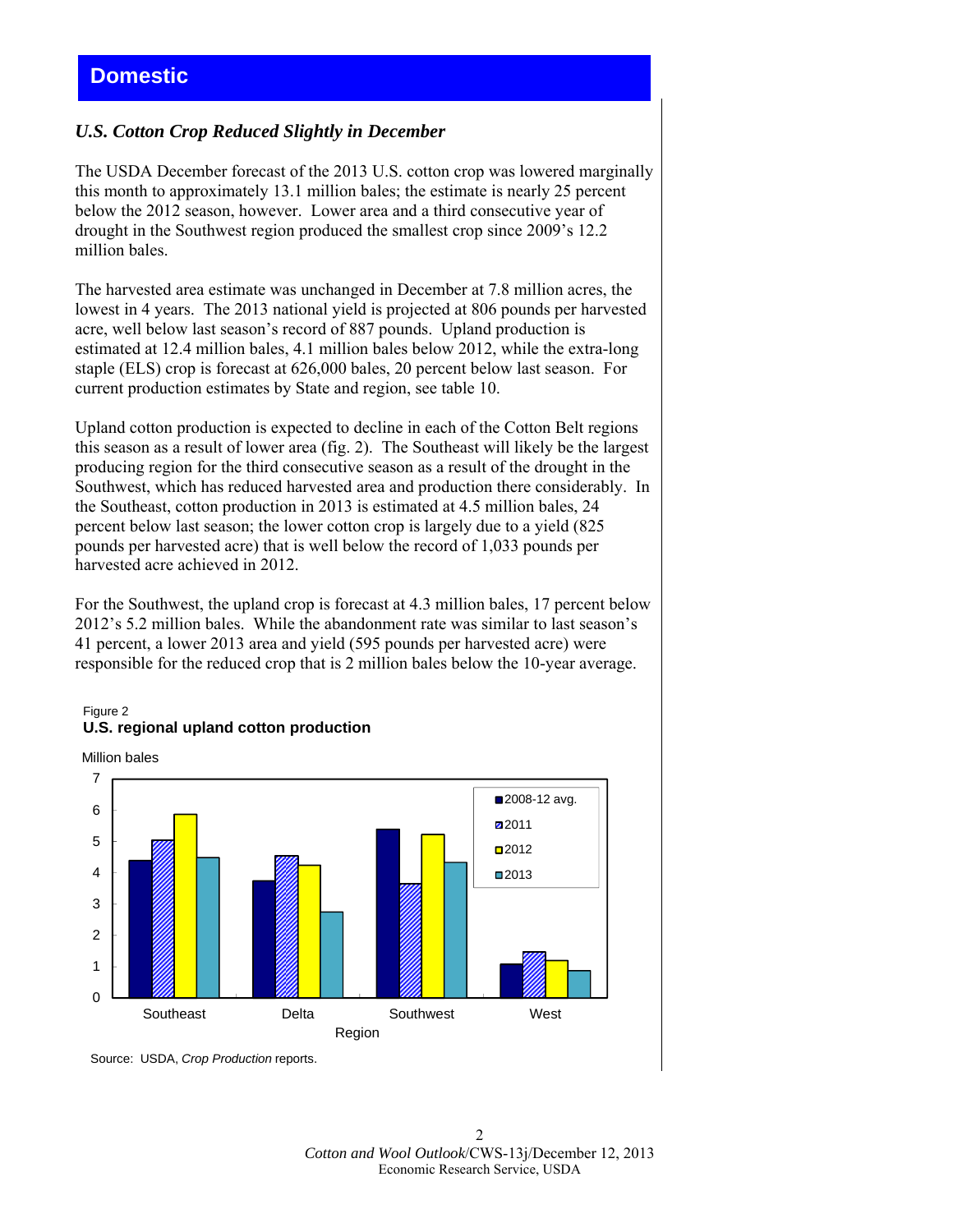# *U.S. Cotton Crop Reduced Slightly in December*

The USDA December forecast of the 2013 U.S. cotton crop was lowered marginally this month to approximately 13.1 million bales; the estimate is nearly 25 percent below the 2012 season, however. Lower area and a third consecutive year of drought in the Southwest region produced the smallest crop since 2009's 12.2 million bales.

The harvested area estimate was unchanged in December at 7.8 million acres, the lowest in 4 years. The 2013 national yield is projected at 806 pounds per harvested acre, well below last season's record of 887 pounds. Upland production is estimated at 12.4 million bales, 4.1 million bales below 2012, while the extra-long staple (ELS) crop is forecast at 626,000 bales, 20 percent below last season. For current production estimates by State and region, see table 10.

Upland cotton production is expected to decline in each of the Cotton Belt regions this season as a result of lower area (fig. 2). The Southeast will likely be the largest producing region for the third consecutive season as a result of the drought in the Southwest, which has reduced harvested area and production there considerably. In the Southeast, cotton production in 2013 is estimated at 4.5 million bales, 24 percent below last season; the lower cotton crop is largely due to a yield (825 pounds per harvested acre) that is well below the record of 1,033 pounds per harvested acre achieved in 2012.

For the Southwest, the upland crop is forecast at 4.3 million bales, 17 percent below 2012's 5.2 million bales. While the abandonment rate was similar to last season's 41 percent, a lower 2013 area and yield (595 pounds per harvested acre) were responsible for the reduced crop that is 2 million bales below the 10-year average.







Source: USDA, *Crop Production* reports.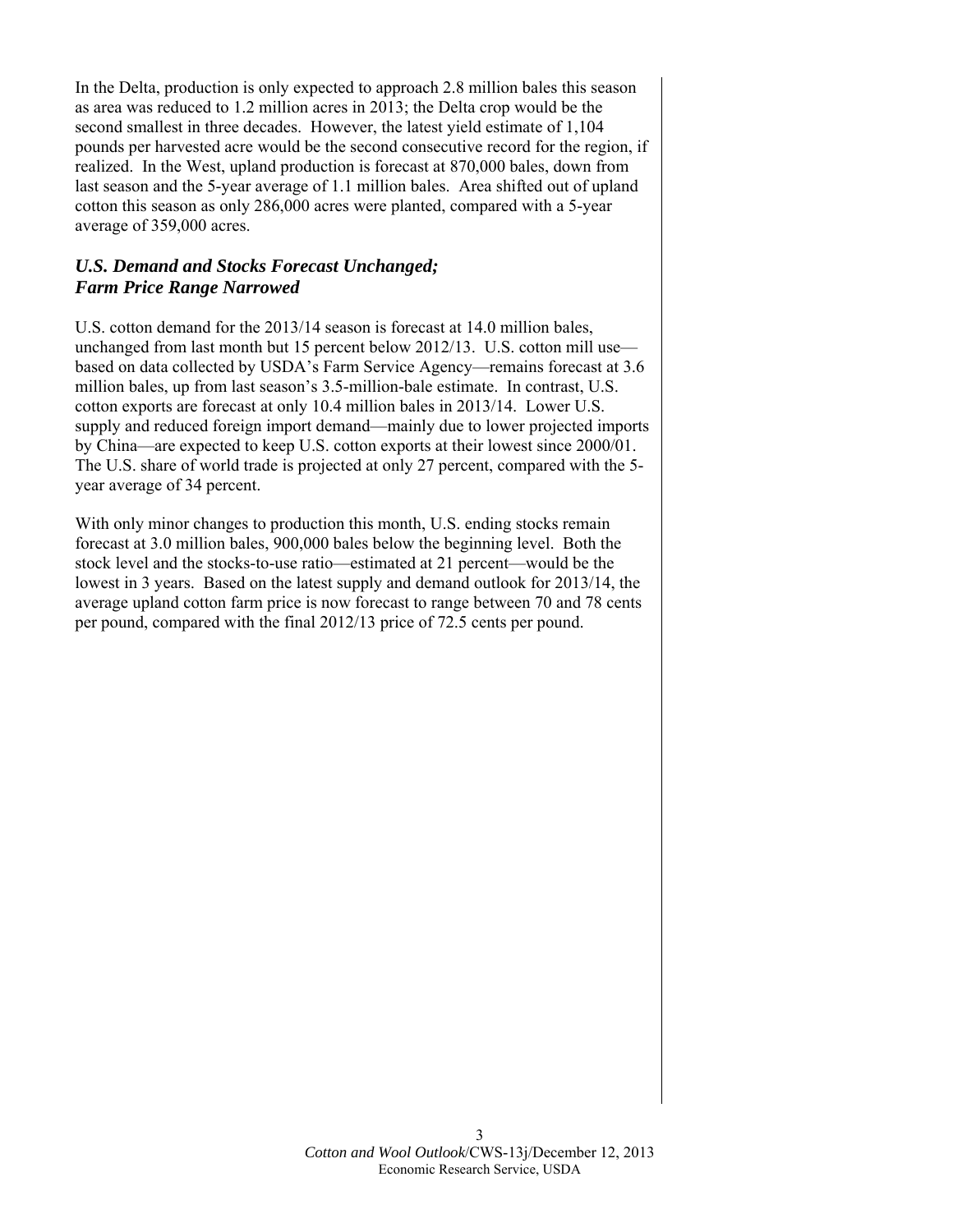In the Delta, production is only expected to approach 2.8 million bales this season as area was reduced to 1.2 million acres in 2013; the Delta crop would be the second smallest in three decades. However, the latest yield estimate of 1,104 pounds per harvested acre would be the second consecutive record for the region, if realized. In the West, upland production is forecast at 870,000 bales, down from last season and the 5-year average of 1.1 million bales. Area shifted out of upland cotton this season as only 286,000 acres were planted, compared with a 5-year average of 359,000 acres.

## *U.S. Demand and Stocks Forecast Unchanged; Farm Price Range Narrowed*

U.S. cotton demand for the 2013/14 season is forecast at 14.0 million bales, unchanged from last month but 15 percent below 2012/13. U.S. cotton mill use based on data collected by USDA's Farm Service Agency—remains forecast at 3.6 million bales, up from last season's 3.5-million-bale estimate. In contrast, U.S. cotton exports are forecast at only 10.4 million bales in 2013/14. Lower U.S. supply and reduced foreign import demand—mainly due to lower projected imports by China—are expected to keep U.S. cotton exports at their lowest since 2000/01. The U.S. share of world trade is projected at only 27 percent, compared with the 5 year average of 34 percent.

With only minor changes to production this month, U.S. ending stocks remain forecast at 3.0 million bales, 900,000 bales below the beginning level. Both the stock level and the stocks-to-use ratio—estimated at 21 percent—would be the lowest in 3 years. Based on the latest supply and demand outlook for 2013/14, the average upland cotton farm price is now forecast to range between 70 and 78 cents per pound, compared with the final 2012/13 price of 72.5 cents per pound.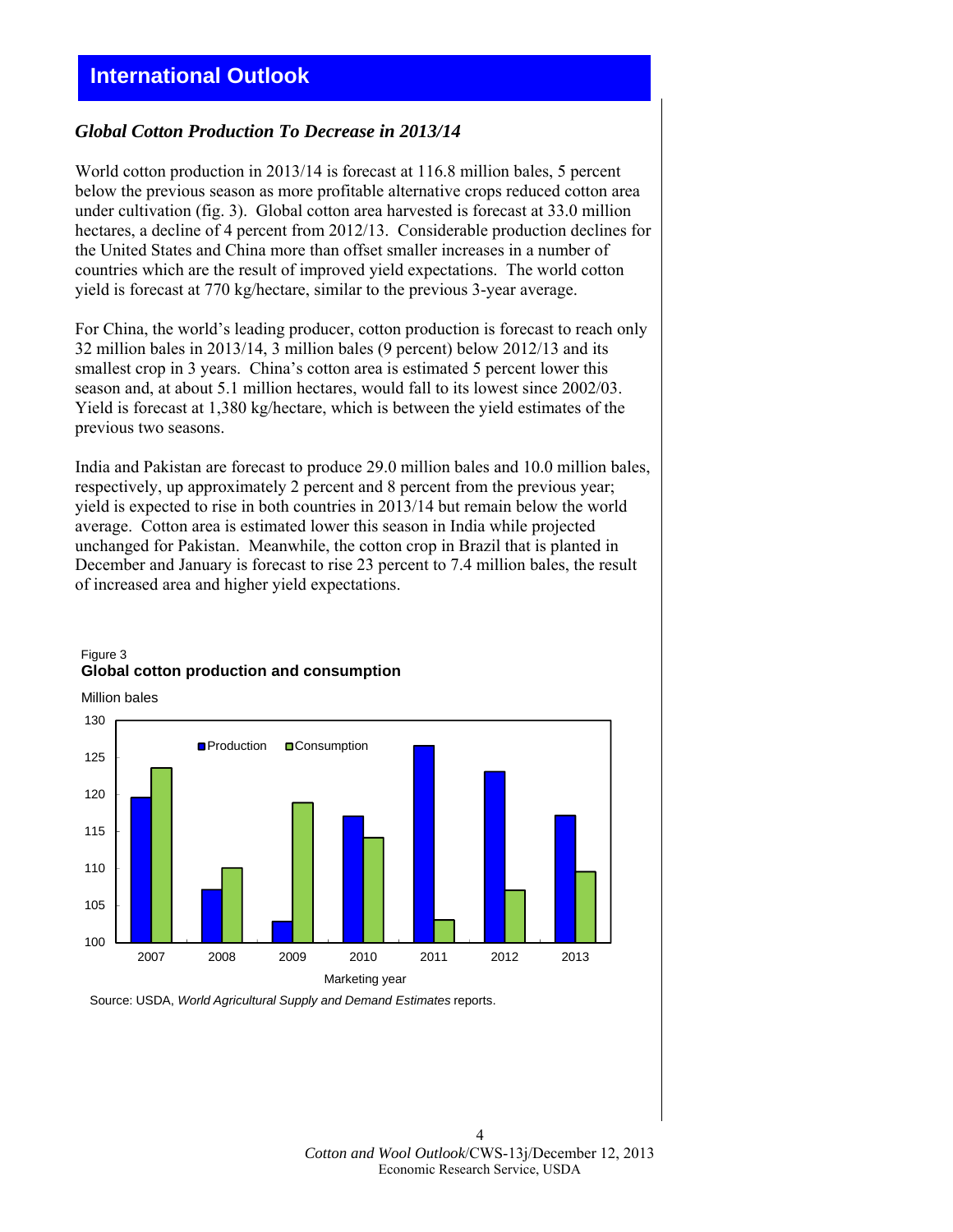# **International Outlook**

#### *Global Cotton Production To Decrease in 2013/14*

World cotton production in 2013/14 is forecast at 116.8 million bales, 5 percent below the previous season as more profitable alternative crops reduced cotton area under cultivation (fig. 3). Global cotton area harvested is forecast at 33.0 million hectares, a decline of 4 percent from 2012/13. Considerable production declines for the United States and China more than offset smaller increases in a number of countries which are the result of improved yield expectations. The world cotton yield is forecast at 770 kg/hectare, similar to the previous 3-year average.

For China, the world's leading producer, cotton production is forecast to reach only 32 million bales in 2013/14, 3 million bales (9 percent) below 2012/13 and its smallest crop in 3 years. China's cotton area is estimated 5 percent lower this season and, at about 5.1 million hectares, would fall to its lowest since 2002/03. Yield is forecast at 1,380 kg/hectare, which is between the yield estimates of the previous two seasons.

India and Pakistan are forecast to produce 29.0 million bales and 10.0 million bales, respectively, up approximately 2 percent and 8 percent from the previous year; yield is expected to rise in both countries in 2013/14 but remain below the world average. Cotton area is estimated lower this season in India while projected unchanged for Pakistan. Meanwhile, the cotton crop in Brazil that is planted in December and January is forecast to rise 23 percent to 7.4 million bales, the result of increased area and higher yield expectations.



#### Figure 3 **Global cotton production and consumption**

Million bales

Source: USDA, *World Agricultural Supply and Demand Estimates* reports.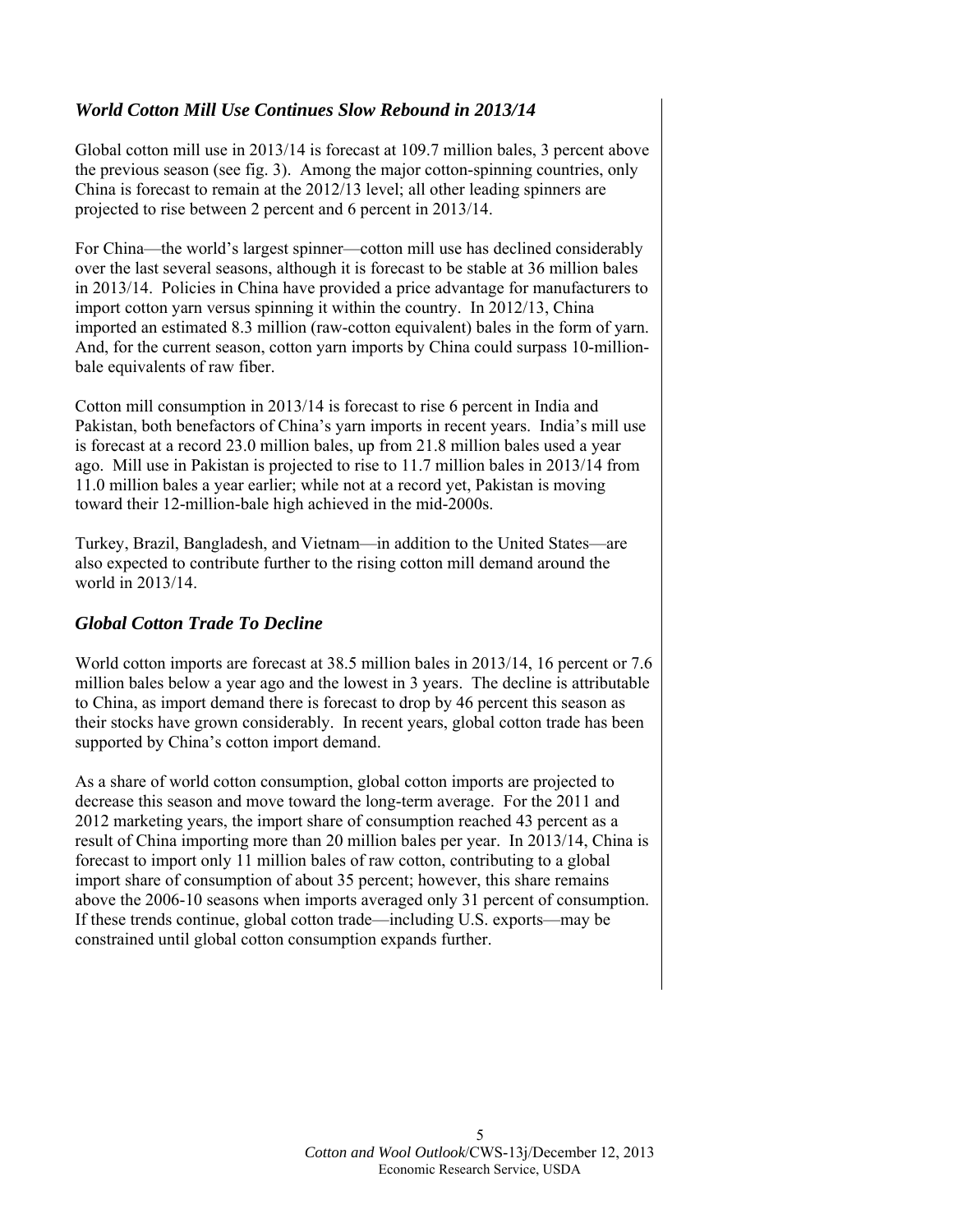# *World Cotton Mill Use Continues Slow Rebound in 2013/14*

Global cotton mill use in 2013/14 is forecast at 109.7 million bales, 3 percent above the previous season (see fig. 3). Among the major cotton-spinning countries, only China is forecast to remain at the 2012/13 level; all other leading spinners are projected to rise between 2 percent and 6 percent in 2013/14.

For China—the world's largest spinner—cotton mill use has declined considerably over the last several seasons, although it is forecast to be stable at 36 million bales in 2013/14. Policies in China have provided a price advantage for manufacturers to import cotton yarn versus spinning it within the country. In 2012/13, China imported an estimated 8.3 million (raw-cotton equivalent) bales in the form of yarn. And, for the current season, cotton yarn imports by China could surpass 10-millionbale equivalents of raw fiber.

Cotton mill consumption in 2013/14 is forecast to rise 6 percent in India and Pakistan, both benefactors of China's yarn imports in recent years. India's mill use is forecast at a record 23.0 million bales, up from 21.8 million bales used a year ago. Mill use in Pakistan is projected to rise to 11.7 million bales in 2013/14 from 11.0 million bales a year earlier; while not at a record yet, Pakistan is moving toward their 12-million-bale high achieved in the mid-2000s.

Turkey, Brazil, Bangladesh, and Vietnam—in addition to the United States—are also expected to contribute further to the rising cotton mill demand around the world in 2013/14.

#### *Global Cotton Trade To Decline*

World cotton imports are forecast at 38.5 million bales in 2013/14, 16 percent or 7.6 million bales below a year ago and the lowest in 3 years. The decline is attributable to China, as import demand there is forecast to drop by 46 percent this season as their stocks have grown considerably. In recent years, global cotton trade has been supported by China's cotton import demand.

As a share of world cotton consumption, global cotton imports are projected to decrease this season and move toward the long-term average. For the 2011 and 2012 marketing years, the import share of consumption reached 43 percent as a result of China importing more than 20 million bales per year. In 2013/14, China is forecast to import only 11 million bales of raw cotton, contributing to a global import share of consumption of about 35 percent; however, this share remains above the 2006-10 seasons when imports averaged only 31 percent of consumption. If these trends continue, global cotton trade—including U.S. exports—may be constrained until global cotton consumption expands further.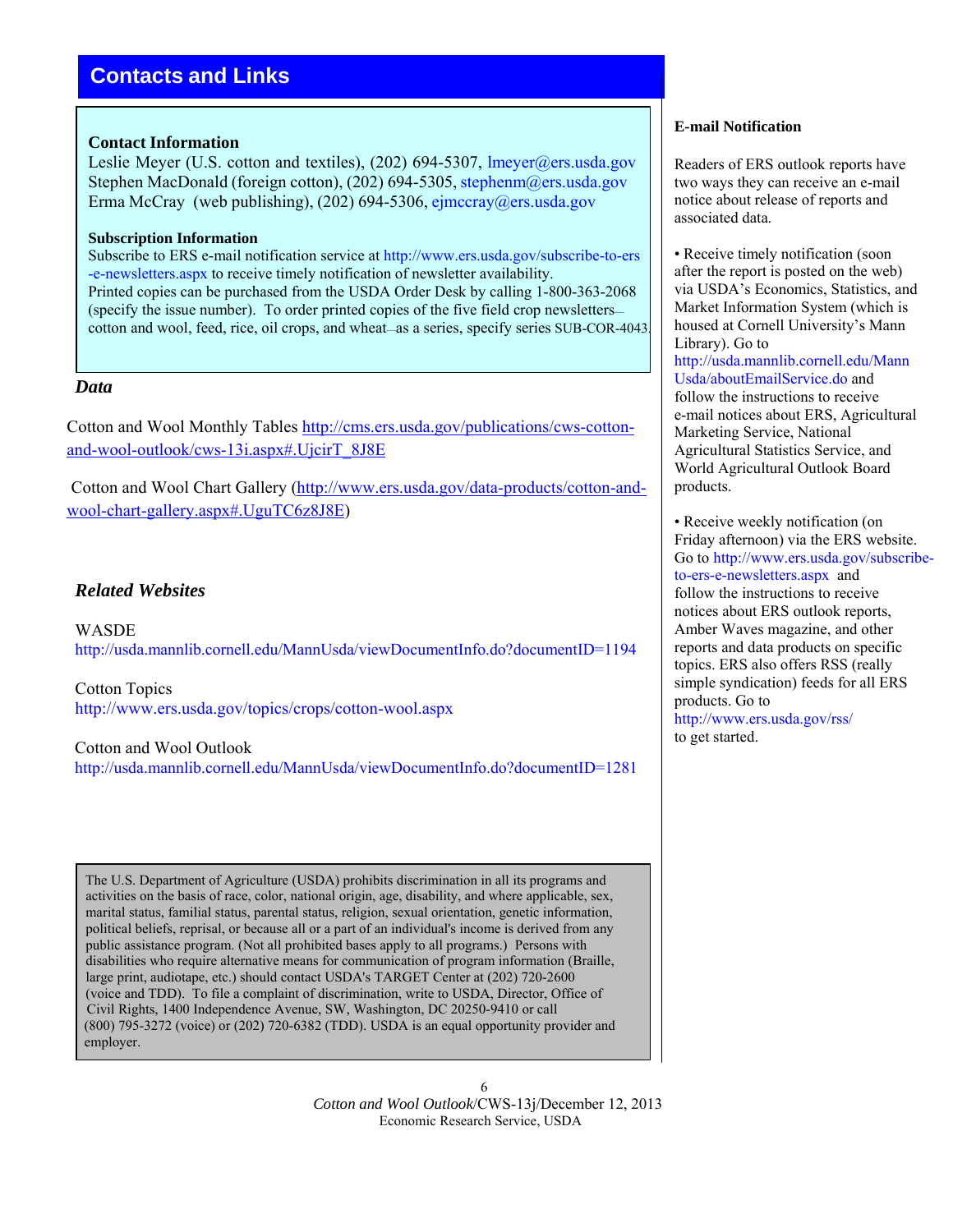# **Contacts and Links**

#### **Contact Information**

Leslie Meyer (U.S. cotton and textiles), (202) 694-5307, lmeyer@ers.usda.gov Stephen MacDonald (foreign cotton), (202) 694-5305, stephenm@ers.usda.gov Erma McCray (web publishing),  $(202)$  694-5306, ejmccray@ers.usda.gov

#### **Subscription Information**

Subscribe to ERS e-mail notification service at [http://www.ers.usda.gov/subscribe-to-ers](http://www.ers.usda.gov/subscribe-to-ers-e-newsletters.aspx) [-e-newsletters.aspx](http://www.ers.usda.gov/subscribe-to-ers-e-newsletters.aspx) to receive timely notification of newsletter availability. Printed copies can be purchased from the USDA Order Desk by calling 1-800-363-2068 (specify the issue number). To order printed copies of the five field crop newsletters cotton and wool, feed, rice, oil crops, and wheat—as a series, specify series SUB-COR-4043.

### *Data*

Cotton and Wool Monthly Tables http://cms.ers.usda.gov/publications/cws-cottonand-wool-outlook/cws-13i.aspx#.UjcirT\_8J8E

 Cotton and Wool Chart Gallery (http://www.ers.usda.gov/data-products/cotton-andwool-chart-gallery.aspx#.UguTC6z8J8E)

# *Related Websites*

**WASDE** http://usda.mannlib.cornell.edu/MannUsda/viewDocumentInfo.do?documentID=1194

Cotton Topics <http://www.ers.usda.gov/topics/crops/cotton-wool.aspx>

Cotton and Wool Outlook

<http://usda.mannlib.cornell.edu/MannUsda/viewDocumentInfo.do?documentID=1281>

 The U.S. Department of Agriculture (USDA) prohibits discrimination in all its programs and activities on the basis of race, color, national origin, age, disability, and where applicable, sex, marital status, familial status, parental status, religion, sexual orientation, genetic information, political beliefs, reprisal, or because all or a part of an individual's income is derived from any public assistance program. (Not all prohibited bases apply to all programs.) Persons with disabilities who require alternative means for communication of program information (Braille, large print, audiotape, etc.) should contact USDA's TARGET Center at (202) 720-2600 (voice and TDD). To file a complaint of discrimination, write to USDA, Director, Office of Civil Rights, 1400 Independence Avenue, SW, Washington, DC 20250-9410 or call (800) 795-3272 (voice) or (202) 720-6382 (TDD). USDA is an equal opportunity provider and employer.

> 6 *Cotton and Wool Outlook*/CWS-13j/December 12, 2013 Economic Research Service, USDA

#### **E-mail Notification**

Readers of ERS outlook reports have two ways they can receive an e-mail notice about release of reports and associated data.

• Receive timely notification (soon) after the report is posted on the web) via USDA's Economics, Statistics, and Market Information System (which is housed at Cornell University's Mann Library). Go to [http://usda.mannlib.cornell.edu/Mann](http://usda.mannlib.cornell.edu/MannUsda/aboutEmailService.do)  [Usda/aboutEmailService.do](http://usda.mannlib.cornell.edu/MannUsda/aboutEmailService.do) and follow the instructions to receive e-mail notices about ERS, Agricultural Marketing Service, National Agricultural Statistics Service, and World Agricultural Outlook Board products.

• Receive weekly notification (on Friday afternoon) via the ERS website. Go to [http://www.ers.usda.gov/subscribe](http://www.ers.usda.gov/subscribe-to-ers-e-newsletters.aspx)[to-ers-e-newsletters.aspx](http://www.ers.usda.gov/subscribe-to-ers-e-newsletters.aspx) and follow the instructions to receive notices about ERS outlook reports, Amber Waves magazine, and other reports and data products on specific topics. ERS also offers RSS (really simple syndication) feeds for all ERS products. Go to <http://www.ers.usda.gov/rss/>

to get started.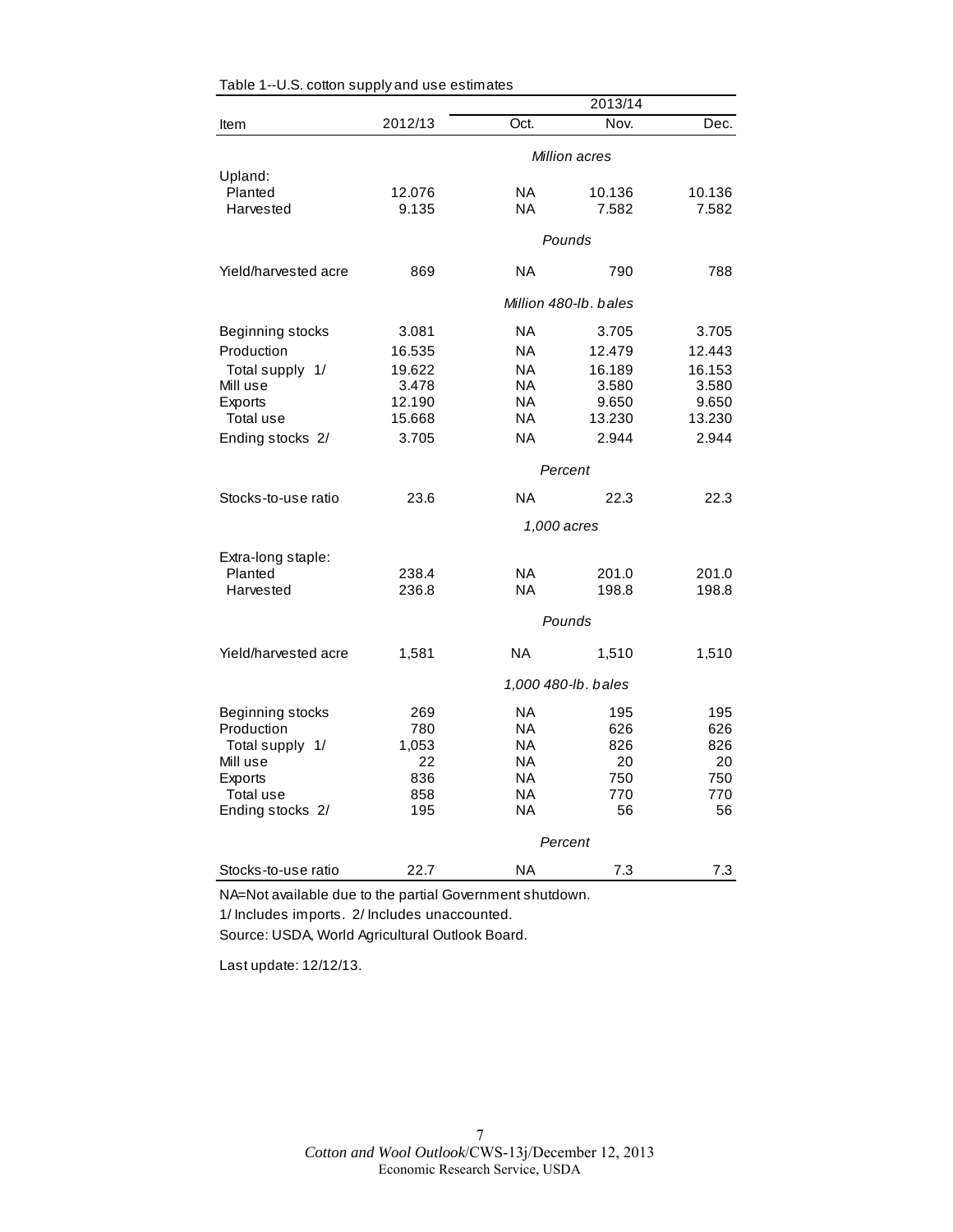|                      |             |           | 2013/14               |        |
|----------------------|-------------|-----------|-----------------------|--------|
| Item                 | 2012/13     | Oct.      | Nov.                  | Dec.   |
|                      |             |           | Million acres         |        |
| Upland:              |             |           |                       |        |
| Planted              | 12.076      | <b>NA</b> | 10.136                | 10.136 |
| Harvested            | 9.135       | ΝA        | 7.582                 | 7.582  |
|                      |             |           | Pounds                |        |
| Yield/harvested acre | 869         | ΝA        | 790                   | 788    |
|                      |             |           | Million 480-lb, bales |        |
| Beginning stocks     | 3.081       | ΝA        | 3.705                 | 3.705  |
| Production           | 16.535      | <b>NA</b> | 12.479                | 12.443 |
| Total supply 1/      | 19.622      | <b>NA</b> | 16.189                | 16.153 |
| Mill use             | 3.478       | NA.       | 3.580                 | 3.580  |
| Exports              | 12.190      | <b>NA</b> | 9.650                 | 9.650  |
| Total use            | 15.668      | ΝA        | 13.230                | 13.230 |
| Ending stocks 2/     | 3.705       | <b>NA</b> | 2.944                 | 2.944  |
|                      |             |           | Percent               |        |
| Stocks-to-use ratio  | 23.6        | ΝA        | 22.3                  | 22.3   |
|                      | 1,000 acres |           |                       |        |
| Extra-long staple:   |             |           |                       |        |
| Planted              | 238.4       | <b>NA</b> | 201.0                 | 201.0  |
| Harvested            | 236.8       | ΝA        | 198.8                 | 198.8  |
|                      |             |           | Pounds                |        |
| Yield/harvested acre | 1,581       | <b>NA</b> | 1,510                 | 1,510  |
|                      |             |           | 1,000 480-lb. bales   |        |
| Beginning stocks     | 269         | ΝA        | 195                   | 195    |
| Production           | 780         | NA        | 626                   | 626    |
| Total supply 1/      | 1,053       | <b>NA</b> | 826                   | 826    |
| Mill use             | 22          | ΝA        | 20                    | 20     |
| Exports              | 836         | ΝA        | 750                   | 750    |
| Total use            | 858         | ΝA        | 770                   | 770    |
| Ending stocks 2/     | 195         | ΝA        | 56                    | 56     |
|                      |             |           | Percent               |        |
| Stocks-to-use ratio  | 22.7        | ΝA        | 7.3                   | 7.3    |

NA=Not available due to the partial Government shutdown. 1/ Includes imports. 2/ Includes unaccounted.

Source: USDA, World Agricultural Outlook Board.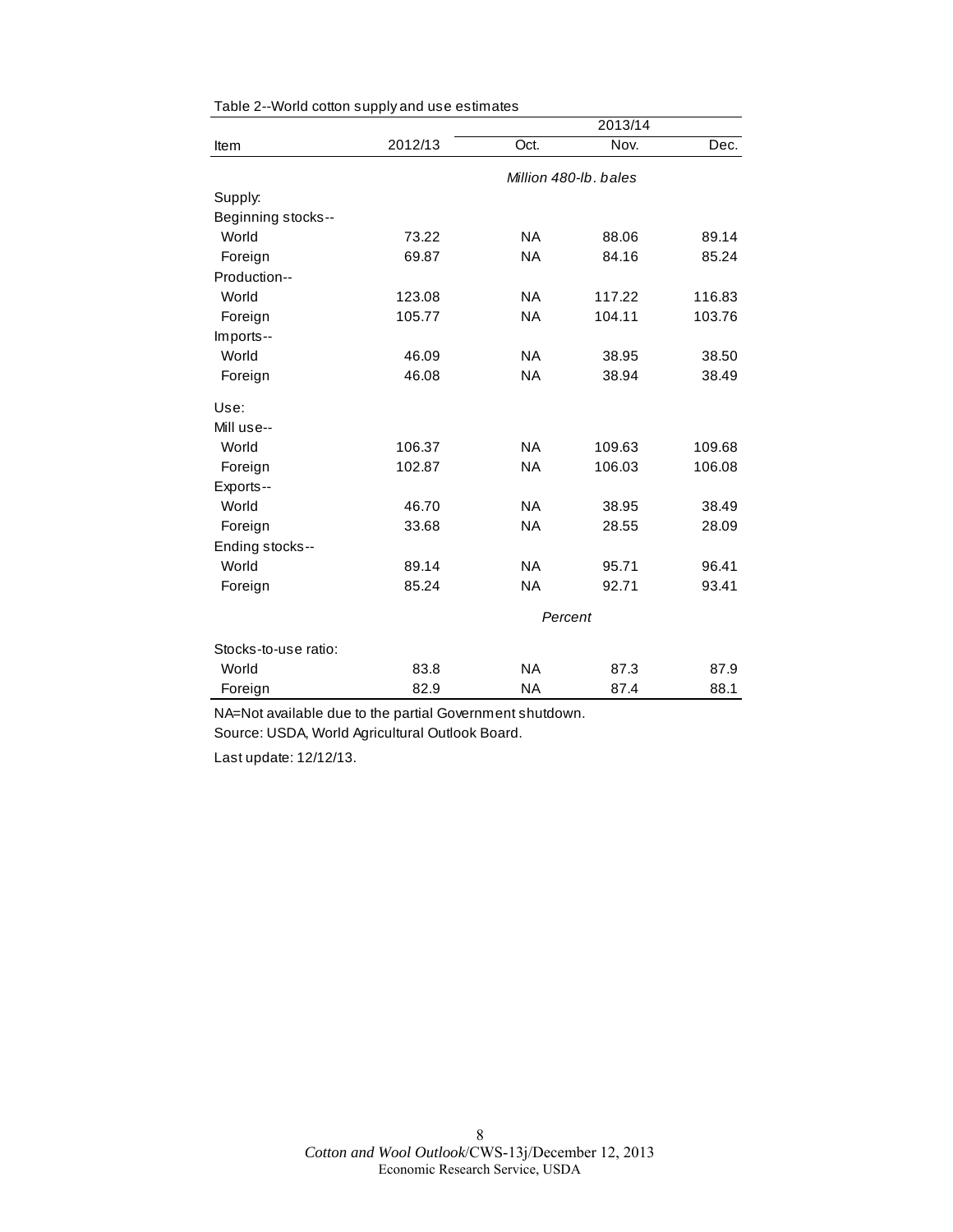|                      |         |           | 2013/14               |        |
|----------------------|---------|-----------|-----------------------|--------|
| Item                 | 2012/13 | Oct.      | Nov.                  | Dec.   |
|                      |         |           | Million 480-lb, bales |        |
| Supply:              |         |           |                       |        |
| Beginning stocks--   |         |           |                       |        |
| World                | 73.22   | <b>NA</b> | 88.06                 | 89.14  |
| Foreign              | 69.87   | <b>NA</b> | 84.16                 | 85.24  |
| Production--         |         |           |                       |        |
| World                | 123.08  | <b>NA</b> | 117.22                | 116.83 |
| Foreign              | 105.77  | <b>NA</b> | 104.11                | 103.76 |
| Imports--            |         |           |                       |        |
| World                | 46.09   | <b>NA</b> | 38.95                 | 38.50  |
| Foreign              | 46.08   | <b>NA</b> | 38.94                 | 38.49  |
| Use:                 |         |           |                       |        |
| Mill use--           |         |           |                       |        |
| World                | 106.37  | <b>NA</b> | 109.63                | 109.68 |
| Foreign              | 102.87  | <b>NA</b> | 106.03                | 106.08 |
| Exports--            |         |           |                       |        |
| World                | 46.70   | <b>NA</b> | 38.95                 | 38.49  |
| Foreign              | 33.68   | <b>NA</b> | 28.55                 | 28.09  |
| Ending stocks--      |         |           |                       |        |
| World                | 89.14   | <b>NA</b> | 95.71                 | 96.41  |
| Foreign              | 85.24   | <b>NA</b> | 92.71                 | 93.41  |
|                      |         |           | Percent               |        |
| Stocks-to-use ratio: |         |           |                       |        |
| World                | 83.8    | <b>NA</b> | 87.3                  | 87.9   |
| Foreign              | 82.9    | <b>NA</b> | 87.4                  | 88.1   |

Table 2--World cotton supply and use estimates

NA=Not available due to the partial Government shutdown. Source: USDA, World Agricultural Outlook Board.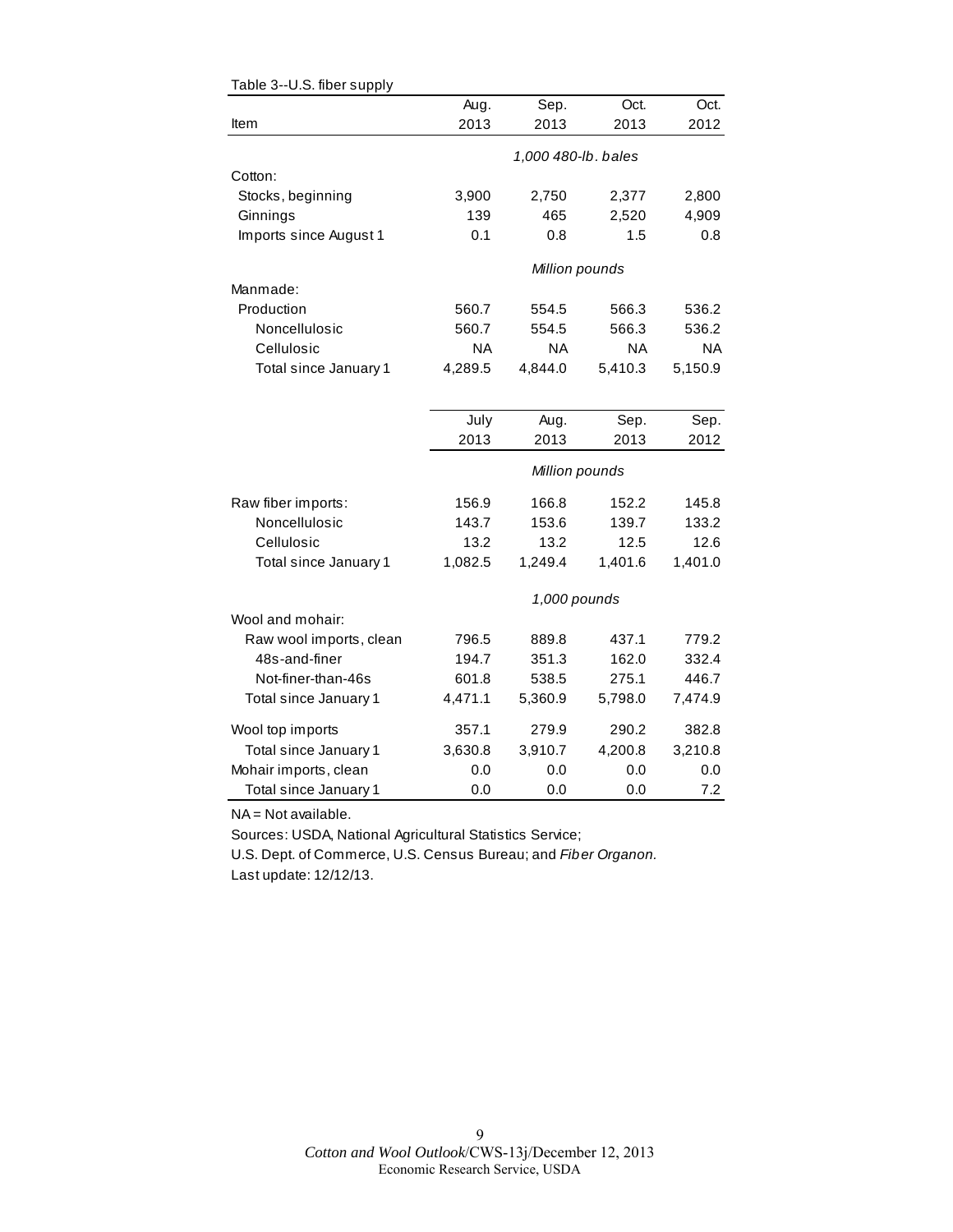|                         | Aug.      | Sep.                | Oct.      | Oct.      |
|-------------------------|-----------|---------------------|-----------|-----------|
| Item                    | 2013      | 2013                | 2013      | 2012      |
|                         |           | 1,000 480-lb. bales |           |           |
| Cotton:                 |           |                     |           |           |
| Stocks, beginning       | 3,900     | 2,750               | 2,377     | 2,800     |
| Ginnings                | 139       | 465                 | 2,520     | 4,909     |
| Imports since August 1  | 0.1       | 0.8                 | 1.5       | 0.8       |
|                         |           | Million pounds      |           |           |
| Manmade:                |           |                     |           |           |
| Production              | 560.7     | 554.5               | 566.3     | 536.2     |
| Noncellulosic           | 560.7     | 554.5               | 566.3     | 536.2     |
| Cellulosic              | <b>NA</b> | <b>NA</b>           | <b>NA</b> | <b>NA</b> |
| Total since January 1   | 4,289.5   | 4,844.0             | 5,410.3   | 5,150.9   |
|                         |           |                     |           |           |
|                         | July      | Aug.                | Sep.      | Sep.      |
|                         | 2013      | 2013                | 2013      | 2012      |
|                         |           | Million pounds      |           |           |
| Raw fiber imports:      | 156.9     | 166.8               | 152.2     | 145.8     |
| Noncellulosic           | 143.7     | 153.6               | 139.7     | 133.2     |
| Cellulosic              | 13.2      | 13.2                | 12.5      | 12.6      |
| Total since January 1   | 1,082.5   | 1,249.4             | 1,401.6   | 1,401.0   |
|                         |           | 1,000 pounds        |           |           |
| Wool and mohair:        |           |                     |           |           |
| Raw wool imports, clean | 796.5     | 889.8               | 437.1     | 779.2     |
| 48s-and-finer           | 194.7     | 351.3               | 162.0     | 332.4     |
| Not-finer-than-46s      | 601.8     | 538.5               | 275.1     | 446.7     |
| Total since January 1   | 4,471.1   | 5,360.9             | 5,798.0   | 7,474.9   |
| Wool top imports        | 357.1     | 279.9               | 290.2     | 382.8     |
| Total since January 1   | 3,630.8   | 3,910.7             | 4,200.8   | 3,210.8   |
| Mohair imports, clean   | 0.0       | 0.0                 | 0.0       | 0.0       |
| Total since January 1   | 0.0       | 0.0                 | 0.0       | 7.2       |

NA = Not available.

Sources: USDA, National Agricultural Statistics Service;

U.S. Dept. of Commerce, U.S. Census Bureau; and *Fiber Organon.* Last update: 12/12/13.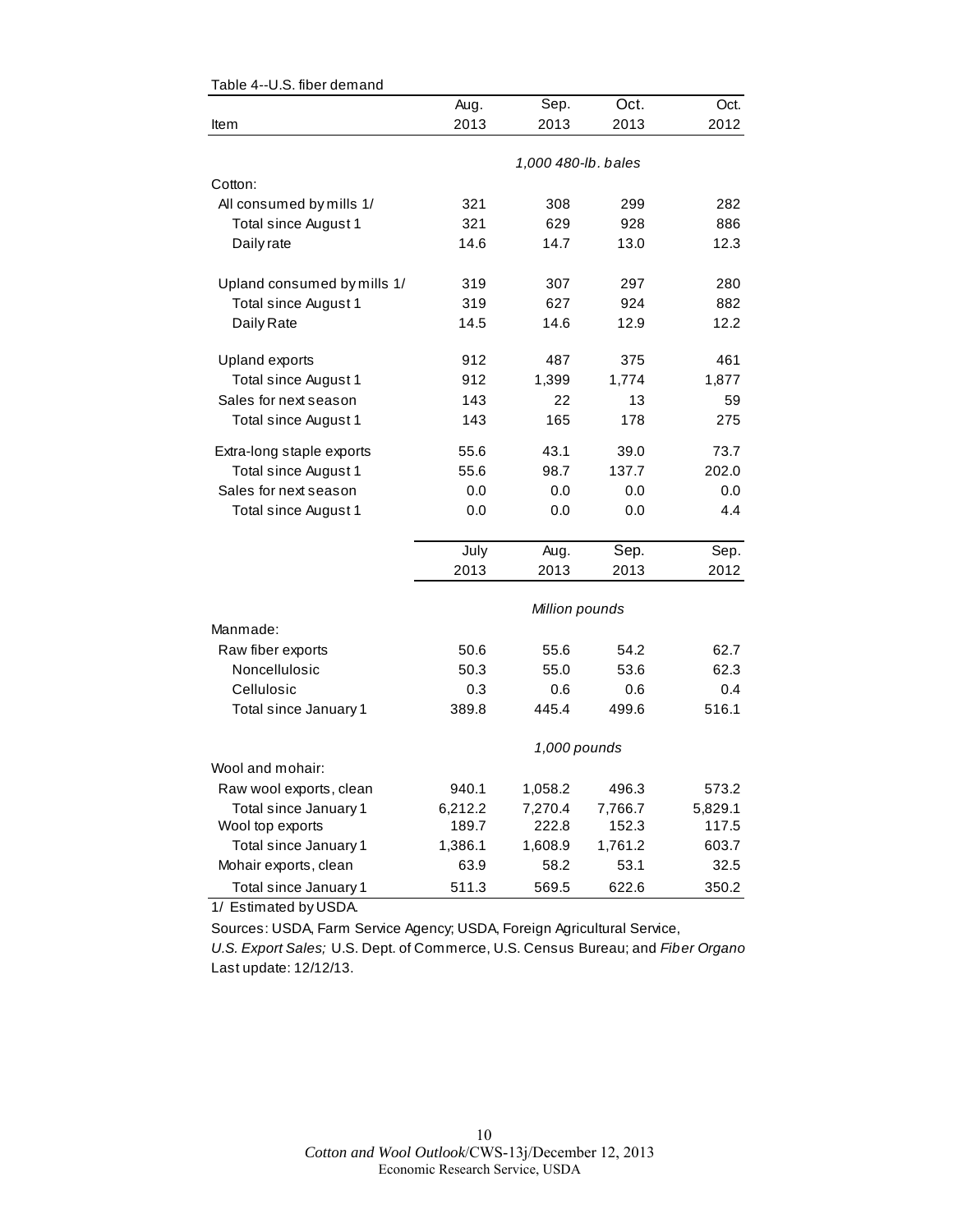|                             | Aug.    | Sep.                | Oct.    | Oct.    |
|-----------------------------|---------|---------------------|---------|---------|
| Item                        | 2013    | 2013                | 2013    | 2012    |
|                             |         |                     |         |         |
|                             |         | 1,000 480-lb. bales |         |         |
| Cotton:                     |         |                     |         |         |
| All consumed by mills 1/    | 321     | 308                 | 299     | 282     |
| Total since August 1        | 321     | 629                 | 928     | 886     |
| Daily rate                  | 14.6    | 14.7                | 13.0    | 12.3    |
| Upland consumed by mills 1/ | 319     | 307                 | 297     | 280     |
| Total since August 1        | 319     | 627                 | 924     | 882     |
| Daily Rate                  | 14.5    | 14.6                | 12.9    | 12.2    |
| Upland exports              | 912     | 487                 | 375     | 461     |
| Total since August 1        | 912     | 1,399               | 1,774   | 1,877   |
| Sales for next season       | 143     | 22                  | 13      | 59      |
| Total since August 1        | 143     | 165                 | 178     | 275     |
| Extra-long staple exports   | 55.6    | 43.1                | 39.0    | 73.7    |
| Total since August 1        | 55.6    | 98.7                | 137.7   | 202.0   |
| Sales for next season       | 0.0     | 0.0                 | 0.0     | 0.0     |
| Total since August 1        | 0.0     | 0.0                 | 0.0     | 4.4     |
|                             | July    | Aug.                | Sep.    | Sep.    |
|                             | 2013    | 2013                | 2013    | 2012    |
|                             |         |                     |         |         |
|                             |         | Million pounds      |         |         |
| Manmade:                    |         |                     |         |         |
| Raw fiber exports           | 50.6    | 55.6                | 54.2    | 62.7    |
| Noncellulosic               | 50.3    | 55.0                | 53.6    | 62.3    |
| Cellulosic                  | 0.3     | 0.6                 | 0.6     | 0.4     |
| Total since January 1       | 389.8   | 445.4               | 499.6   | 516.1   |
|                             |         | 1,000 pounds        |         |         |
| Wool and mohair:            |         |                     |         |         |
| Raw wool exports, clean     | 940.1   | 1,058.2             | 496.3   | 573.2   |
| Total since January 1       | 6,212.2 | 7,270.4             | 7,766.7 | 5,829.1 |
| Wool top exports            | 189.7   | 222.8               | 152.3   | 117.5   |
| Total since January 1       | 1,386.1 | 1,608.9             | 1,761.2 | 603.7   |
| Mohair exports, clean       | 63.9    | 58.2                | 53.1    | 32.5    |
| Total since January 1       | 511.3   | 569.5               | 622.6   | 350.2   |

#### Table 4--U.S. fiber demand

1/ Estimated by USDA.

Sources: USDA, Farm Service Agency; USDA, Foreign Agricultural Service,

*U.S. Export Sales;* U.S. Dept. of Commerce, U.S. Census Bureau; and *Fiber Organo* Last update: 12/12/13.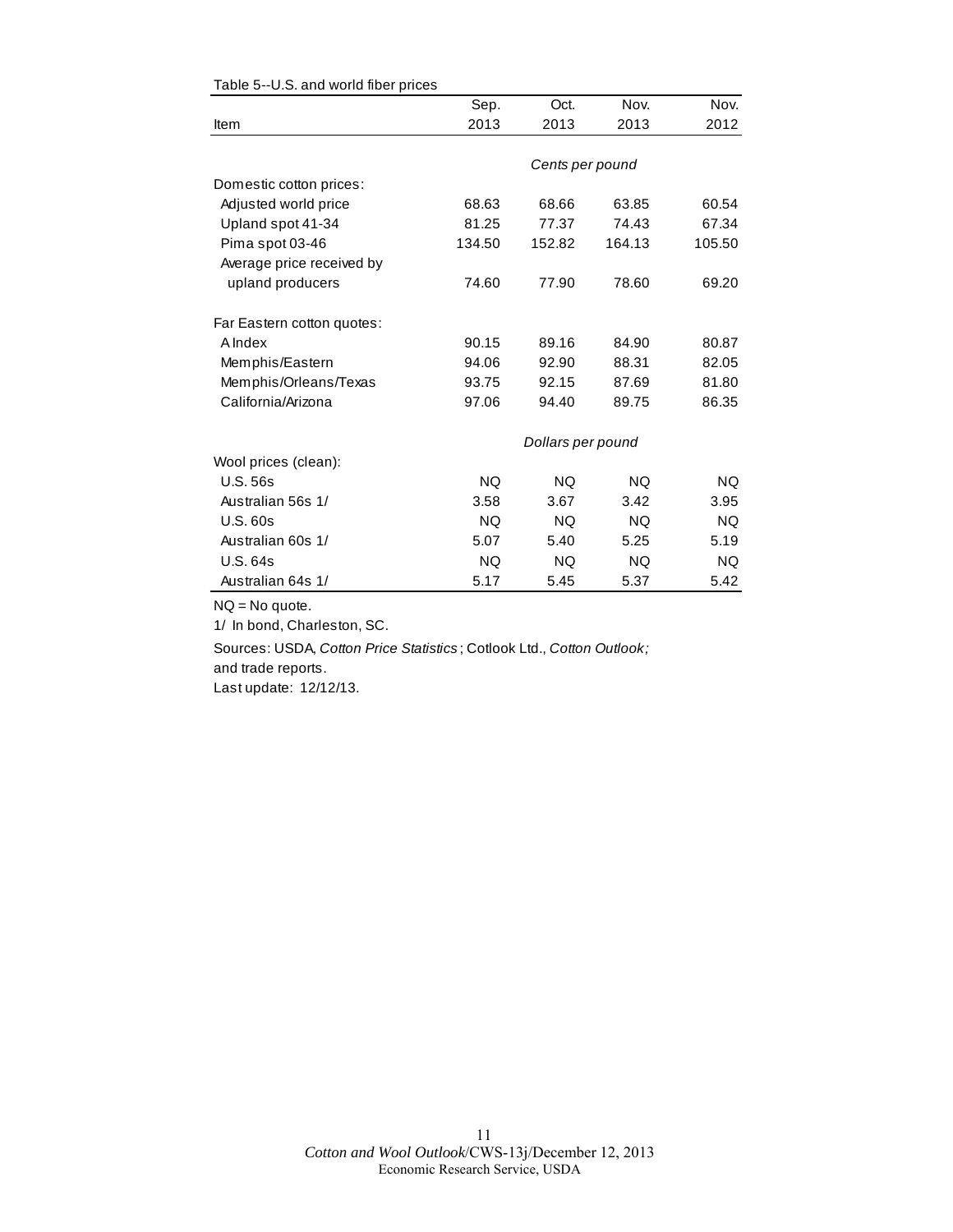|                            | Sep.      | Oct.              | Nov.      | Nov.      |
|----------------------------|-----------|-------------------|-----------|-----------|
| Item                       | 2013      | 2013              | 2013      | 2012      |
|                            |           |                   |           |           |
|                            |           | Cents per pound   |           |           |
| Domestic cotton prices:    |           |                   |           |           |
| Adjusted world price       | 68.63     | 68.66             | 63.85     | 60.54     |
| Upland spot 41-34          | 81.25     | 77.37             | 74.43     | 67.34     |
| Pima spot 03-46            | 134.50    | 152.82            | 164.13    | 105.50    |
| Average price received by  |           |                   |           |           |
| upland producers           | 74.60     | 77.90             | 78.60     | 69.20     |
| Far Eastern cotton quotes: |           |                   |           |           |
| <b>A</b> Index             | 90.15     | 89.16             | 84.90     | 80.87     |
| Memphis/Eastern            | 94.06     | 92.90             | 88.31     | 82.05     |
| Memphis/Orleans/Texas      | 93.75     | 92.15             | 87.69     | 81.80     |
| California/Arizona         | 97.06     | 94.40             | 89.75     | 86.35     |
|                            |           | Dollars per pound |           |           |
| Wool prices (clean):       |           |                   |           |           |
| <b>U.S. 56s</b>            | <b>NQ</b> | <b>NQ</b>         | NQ.       | <b>NQ</b> |
| Australian 56s 1/          | 3.58      | 3.67              | 3.42      | 3.95      |
| <b>U.S. 60s</b>            | <b>NQ</b> | <b>NQ</b>         | <b>NQ</b> | <b>NQ</b> |
| Australian 60s 1/          | 5.07      | 5.40              | 5.25      | 5.19      |
| U.S. 64s                   | <b>NQ</b> | NQ.               | NQ.       | NQ.       |
| Australian 64s 1/          | 5.17      | 5.45              | 5.37      | 5.42      |

#### Table 5--U.S. and world fiber prices

NQ = No quote.

1/ In bond, Charleston, SC.

Sources: USDA, *Cotton Price Statistics* ; Cotlook Ltd., *Cotton Outlook;*  and trade reports.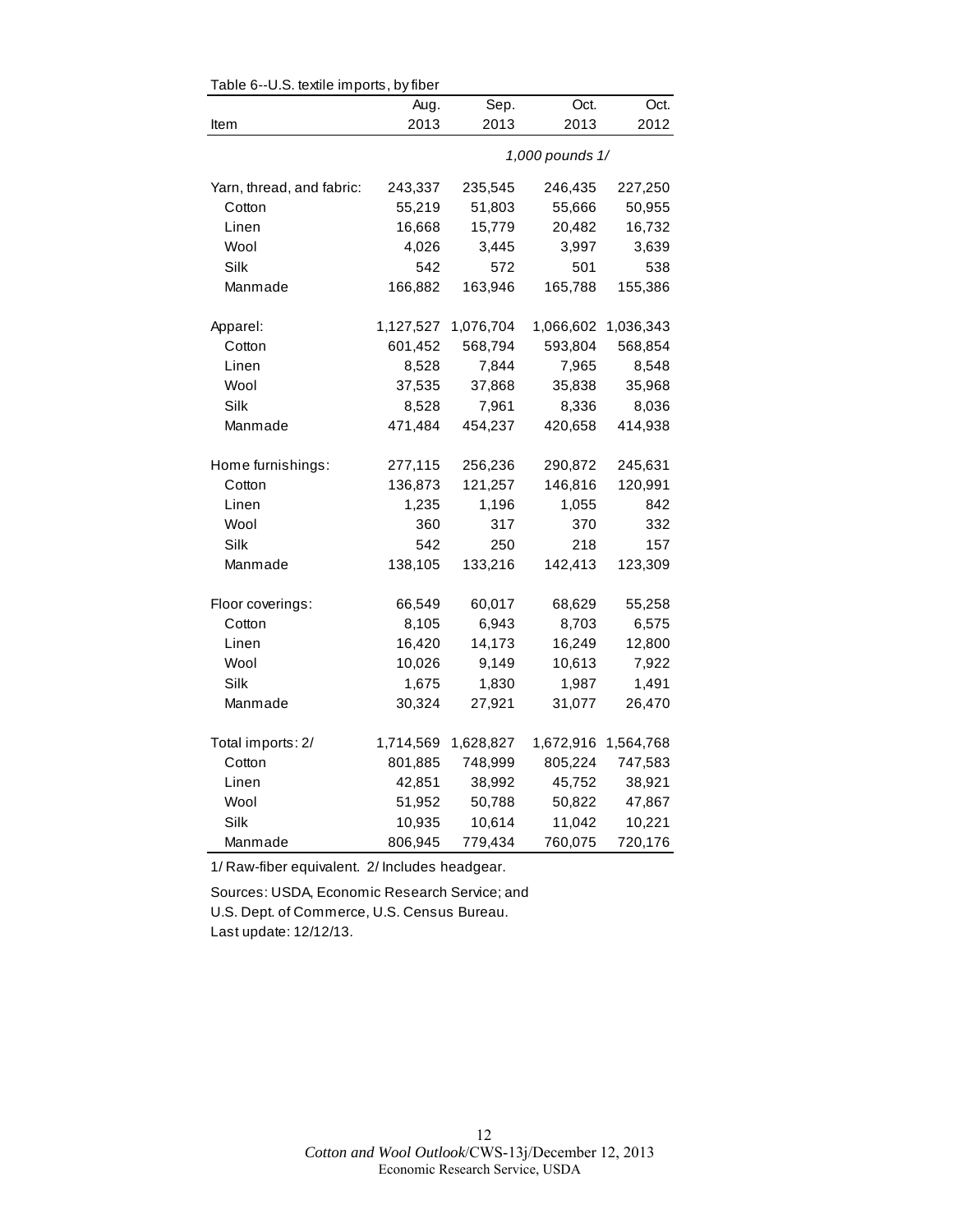| Table 6--U.S. textile imports, by fiber |           |                 |           |           |  |  |
|-----------------------------------------|-----------|-----------------|-----------|-----------|--|--|
|                                         | Aug.      | Sep.            | Oct.      | Oct.      |  |  |
| Item                                    | 2013      | 2013            | 2013      | 2012      |  |  |
|                                         |           | 1,000 pounds 1/ |           |           |  |  |
| Yarn, thread, and fabric:               | 243,337   | 235,545         | 246,435   | 227,250   |  |  |
| Cotton                                  | 55,219    | 51,803          | 55,666    | 50,955    |  |  |
| Linen                                   | 16,668    | 15,779          | 20,482    | 16,732    |  |  |
| Wool                                    | 4,026     | 3,445           | 3,997     | 3,639     |  |  |
| Silk                                    | 542       | 572             | 501       | 538       |  |  |
| Manmade                                 | 166,882   | 163,946         | 165,788   | 155,386   |  |  |
| Apparel:                                | 1,127,527 | 1,076,704       | 1,066,602 | 1,036,343 |  |  |
| Cotton                                  | 601,452   | 568,794         | 593,804   | 568,854   |  |  |
| Linen                                   | 8,528     | 7,844           | 7,965     | 8,548     |  |  |
| Wool                                    | 37,535    | 37,868          | 35,838    | 35,968    |  |  |
| Silk                                    | 8,528     | 7,961           | 8,336     | 8,036     |  |  |
| Manmade                                 | 471,484   | 454,237         | 420,658   | 414,938   |  |  |
| Home furnishings:                       | 277,115   | 256,236         | 290,872   | 245,631   |  |  |
| Cotton                                  | 136,873   | 121,257         | 146,816   | 120,991   |  |  |
| Linen                                   | 1,235     | 1,196           | 1,055     | 842       |  |  |
| Wool                                    | 360       | 317             | 370       | 332       |  |  |
| Silk                                    | 542       | 250             | 218       | 157       |  |  |
| Manmade                                 | 138,105   | 133,216         | 142,413   | 123,309   |  |  |
| Floor coverings:                        | 66,549    | 60,017          | 68,629    | 55,258    |  |  |
| Cotton                                  | 8,105     | 6,943           | 8,703     | 6,575     |  |  |
| Linen                                   | 16,420    | 14,173          | 16,249    | 12,800    |  |  |
| Wool                                    | 10,026    | 9,149           | 10,613    | 7,922     |  |  |
| Silk                                    | 1,675     | 1,830           | 1,987     | 1,491     |  |  |
| Manmade                                 | 30,324    | 27,921          | 31,077    | 26,470    |  |  |
| Total imports: 2/                       | 1,714,569 | 1,628,827       | 1,672,916 | 1,564,768 |  |  |
| Cotton                                  | 801,885   | 748,999         | 805,224   | 747,583   |  |  |
| Linen                                   | 42,851    | 38,992          | 45,752    | 38,921    |  |  |
| Wool                                    | 51,952    | 50,788          | 50,822    | 47,867    |  |  |
| Silk                                    | 10,935    | 10,614          | 11,042    | 10,221    |  |  |
| Manmade                                 | 806,945   | 779,434         | 760,075   | 720,176   |  |  |

 $Table 6-11$ S. textile imports, by fib

1/ Raw-fiber equivalent. 2/ Includes headgear.

Sources: USDA, Economic Research Service; and U.S. Dept. of Commerce, U.S. Census Bureau. Last update: 12/12/13.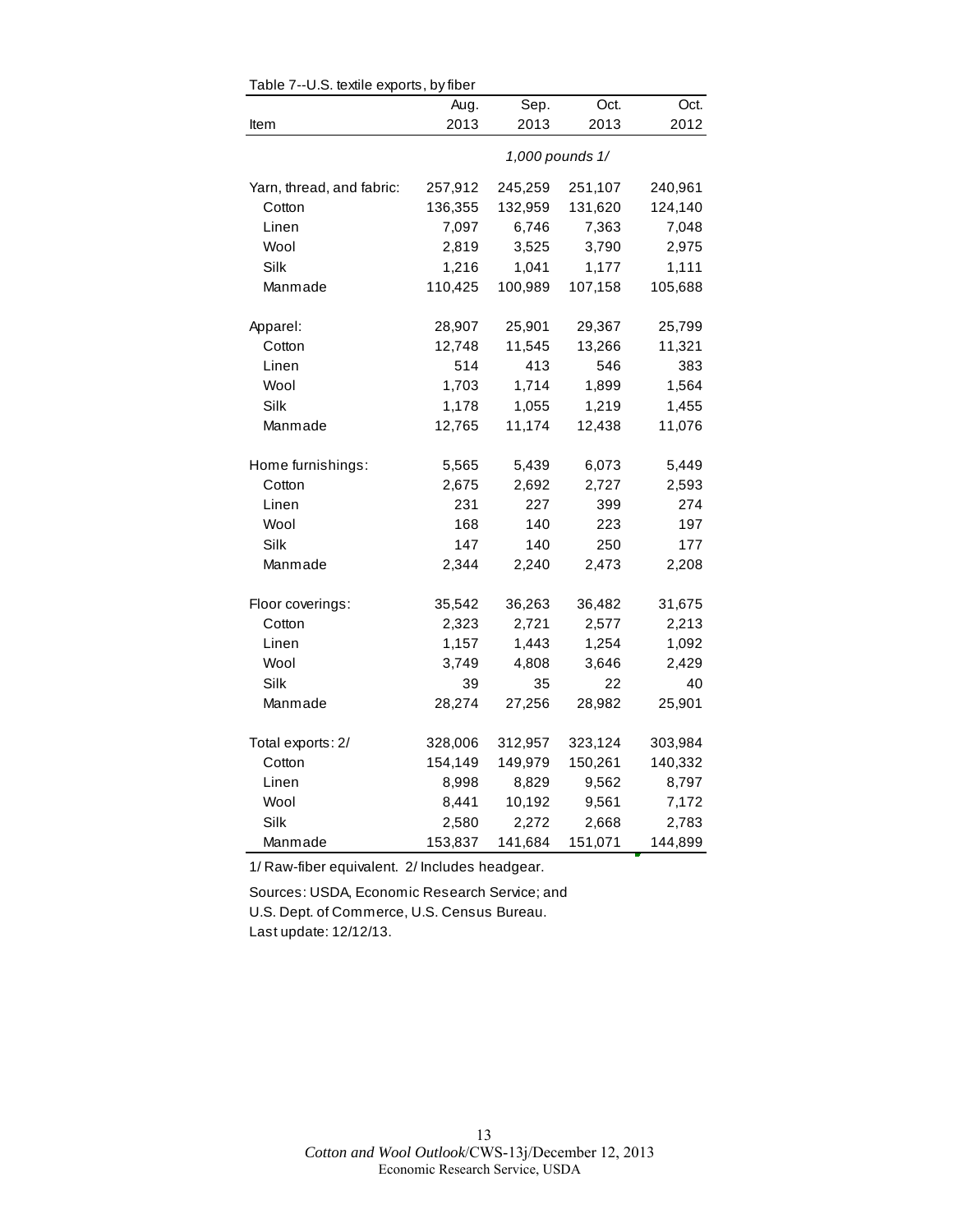|                           | Aug.    | Sep.    | Oct.            | Oct.    |
|---------------------------|---------|---------|-----------------|---------|
| Item                      | 2013    | 2013    | 2013            | 2012    |
|                           |         |         |                 |         |
|                           |         |         | 1,000 pounds 1/ |         |
| Yarn, thread, and fabric: | 257,912 | 245,259 | 251,107         | 240,961 |
| Cotton                    | 136,355 | 132,959 | 131,620         | 124,140 |
| Linen                     | 7,097   | 6,746   | 7,363           | 7,048   |
| Wool                      | 2,819   | 3,525   | 3,790           | 2,975   |
| Silk                      | 1,216   | 1,041   | 1,177           | 1,111   |
| Manmade                   | 110,425 | 100,989 | 107,158         | 105,688 |
|                           |         |         |                 |         |
| Apparel:                  | 28,907  | 25,901  | 29,367          | 25,799  |
| Cotton                    | 12,748  | 11,545  | 13,266          | 11,321  |
| Linen                     | 514     | 413     | 546             | 383     |
| Wool                      | 1,703   | 1,714   | 1,899           | 1,564   |
| Silk                      | 1,178   | 1,055   | 1,219           | 1,455   |
| Manmade                   | 12,765  | 11,174  | 12,438          | 11,076  |
| Home furnishings:         | 5,565   | 5,439   | 6,073           | 5,449   |
| Cotton                    | 2,675   | 2,692   | 2,727           | 2,593   |
| Linen                     | 231     | 227     | 399             | 274     |
| Wool                      | 168     | 140     | 223             | 197     |
| Silk                      | 147     | 140     | 250             | 177     |
| Manmade                   | 2,344   | 2,240   | 2,473           | 2,208   |
|                           |         |         |                 |         |
| Floor coverings:          | 35,542  | 36,263  | 36,482          | 31,675  |
| Cotton                    | 2,323   | 2,721   | 2,577           | 2,213   |
| Linen                     | 1,157   | 1,443   | 1,254           | 1,092   |
| Wool                      | 3,749   | 4,808   | 3,646           | 2,429   |
| Silk                      | 39      | 35      | 22              | 40      |
| Manmade                   | 28,274  | 27,256  | 28,982          | 25,901  |
| Total exports: 2/         | 328,006 | 312,957 | 323,124         | 303,984 |
| Cotton                    | 154,149 | 149,979 | 150,261         | 140,332 |
| Linen                     | 8,998   | 8,829   | 9,562           | 8,797   |
| Wool                      | 8,441   | 10,192  | 9,561           | 7,172   |
| Silk                      | 2,580   | 2,272   | 2,668           |         |
|                           |         |         |                 | 2,783   |
| Manmade                   | 153,837 | 141,684 | 151,071         | 144,899 |

Table 7--U.S. textile exports, by fiber

1/ Raw-fiber equivalent. 2/ Includes headgear.

Sources: USDA, Economic Research Service; and U.S. Dept. of Commerce, U.S. Census Bureau. Last update: 12/12/13.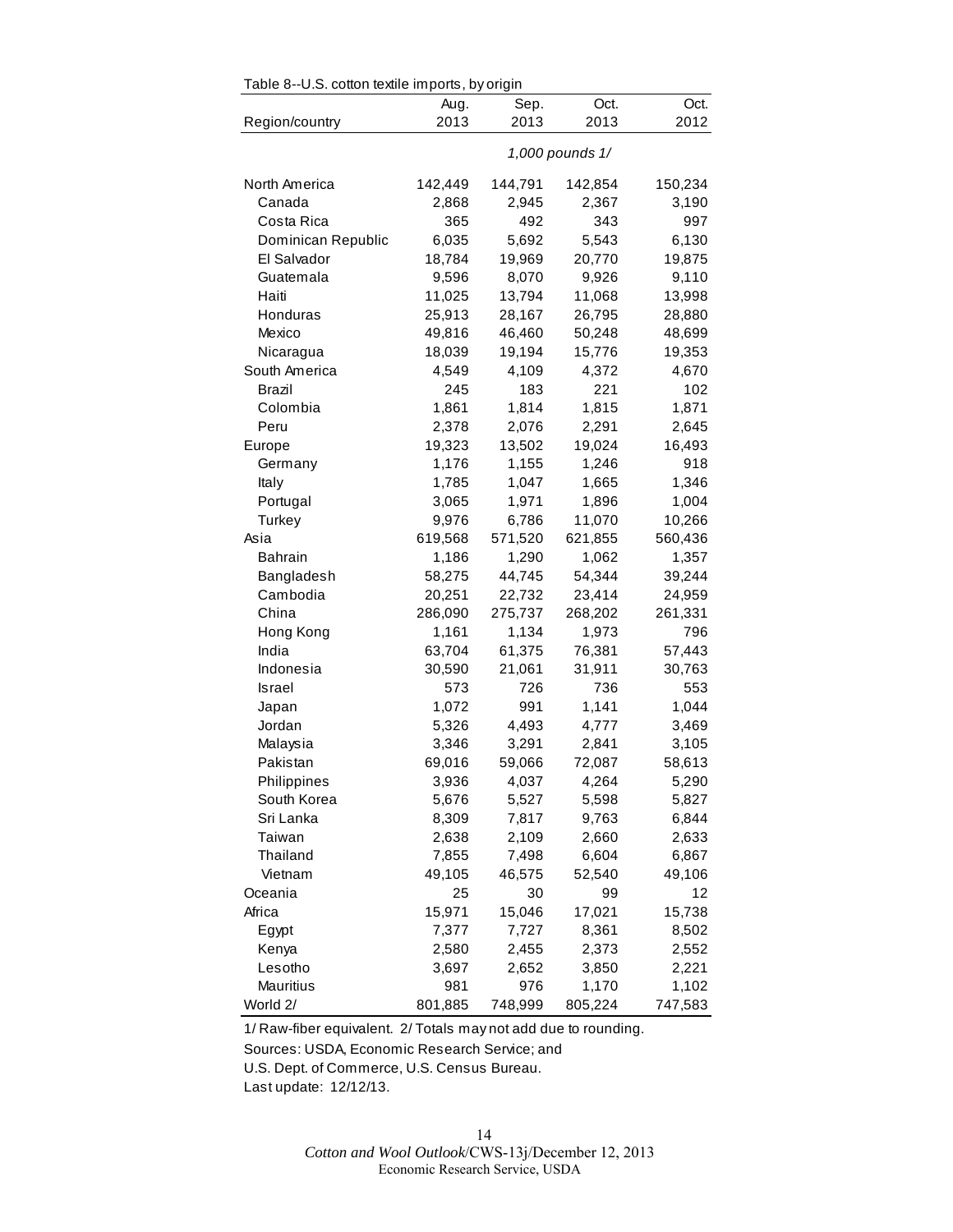| Table 8--U.S. cotton textile imports, by origin |                 |         |         |         |  |  |
|-------------------------------------------------|-----------------|---------|---------|---------|--|--|
|                                                 | Aug.            | Sep.    | Oct.    | Oct.    |  |  |
| Region/country                                  | 2013            | 2013    | 2013    | 2012    |  |  |
|                                                 | 1,000 pounds 1/ |         |         |         |  |  |
| North America                                   | 142,449         | 144,791 | 142,854 | 150,234 |  |  |
| Canada                                          | 2,868           | 2,945   | 2,367   | 3,190   |  |  |
| Costa Rica                                      | 365             | 492     | 343     | 997     |  |  |
| Dominican Republic                              | 6,035           | 5,692   | 5,543   | 6,130   |  |  |
| El Salvador                                     | 18,784          | 19,969  | 20,770  | 19,875  |  |  |
| Guatemala                                       | 9,596           | 8,070   | 9,926   | 9,110   |  |  |
| Haiti                                           | 11,025          | 13,794  | 11,068  | 13,998  |  |  |
| Honduras                                        | 25,913          | 28,167  | 26,795  | 28,880  |  |  |
| Mexico                                          | 49,816          | 46,460  | 50,248  | 48,699  |  |  |
| Nicaragua                                       | 18,039          | 19,194  | 15,776  | 19,353  |  |  |
| South America                                   | 4,549           | 4,109   | 4,372   | 4,670   |  |  |
| Brazil                                          | 245             | 183     | 221     | 102     |  |  |
| Colombia                                        | 1,861           | 1,814   | 1,815   | 1,871   |  |  |
| Peru                                            | 2,378           | 2,076   | 2,291   | 2,645   |  |  |
| Europe                                          | 19,323          | 13,502  | 19,024  | 16,493  |  |  |
| Germany                                         | 1,176           | 1,155   | 1,246   | 918     |  |  |
| Italy                                           | 1,785           | 1,047   | 1,665   | 1,346   |  |  |
| Portugal                                        | 3,065           | 1,971   | 1,896   | 1,004   |  |  |
| Turkey                                          | 9,976           | 6,786   | 11,070  | 10,266  |  |  |
| Asia                                            | 619,568         | 571,520 | 621,855 | 560,436 |  |  |
| <b>Bahrain</b>                                  | 1,186           | 1,290   | 1,062   | 1,357   |  |  |
| Bangladesh                                      | 58,275          | 44,745  | 54,344  | 39,244  |  |  |
| Cambodia                                        | 20,251          | 22,732  | 23,414  | 24,959  |  |  |
| China                                           | 286,090         | 275,737 | 268,202 | 261,331 |  |  |
| Hong Kong                                       | 1,161           | 1,134   | 1,973   | 796     |  |  |
| India                                           |                 |         |         |         |  |  |
| Indonesia                                       | 63,704          | 61,375  | 76,381  | 57,443  |  |  |
|                                                 | 30,590          | 21,061  | 31,911  | 30,763  |  |  |
| Israel                                          | 573             | 726     | 736     | 553     |  |  |
| Japan                                           | 1,072           | 991     | 1,141   | 1,044   |  |  |
| Jordan                                          | 5,326           | 4,493   | 4,777   | 3,469   |  |  |
| Malaysia                                        | 3,346           | 3,291   | 2,841   | 3,105   |  |  |
| Pakistan                                        | 69,016          | 59,066  | 72,087  | 58,613  |  |  |
| Philippines                                     | 3,936           | 4,037   | 4,264   | 5,290   |  |  |
| South Korea                                     | 5,676           | 5,527   | 5,598   | 5,827   |  |  |
| Sri Lanka                                       | 8,309           | 7,817   | 9,763   | 6,844   |  |  |
| Taiwan                                          | 2,638           | 2,109   | 2,660   | 2,633   |  |  |
| Thailand                                        | 7,855           | 7,498   | 6,604   | 6,867   |  |  |
| Vietnam                                         | 49,105          | 46,575  | 52,540  | 49,106  |  |  |
| Oceania                                         | 25              | 30      | 99      | 12      |  |  |
| Africa                                          | 15,971          | 15,046  | 17,021  | 15,738  |  |  |
| Egypt                                           | 7,377           | 7,727   | 8,361   | 8,502   |  |  |
| Kenya                                           | 2,580           | 2,455   | 2,373   | 2,552   |  |  |
| Lesotho                                         | 3,697           | 2,652   | 3,850   | 2,221   |  |  |
| Mauritius                                       | 981             | 976     | 1,170   | 1,102   |  |  |
| World 2/                                        | 801,885         | 748,999 | 805,224 | 747,583 |  |  |

1/ Raw-fiber equivalent. 2/ Totals may not add due to rounding.

Sources: USDA, Economic Research Service; and

U.S. Dept. of Commerce, U.S. Census Bureau.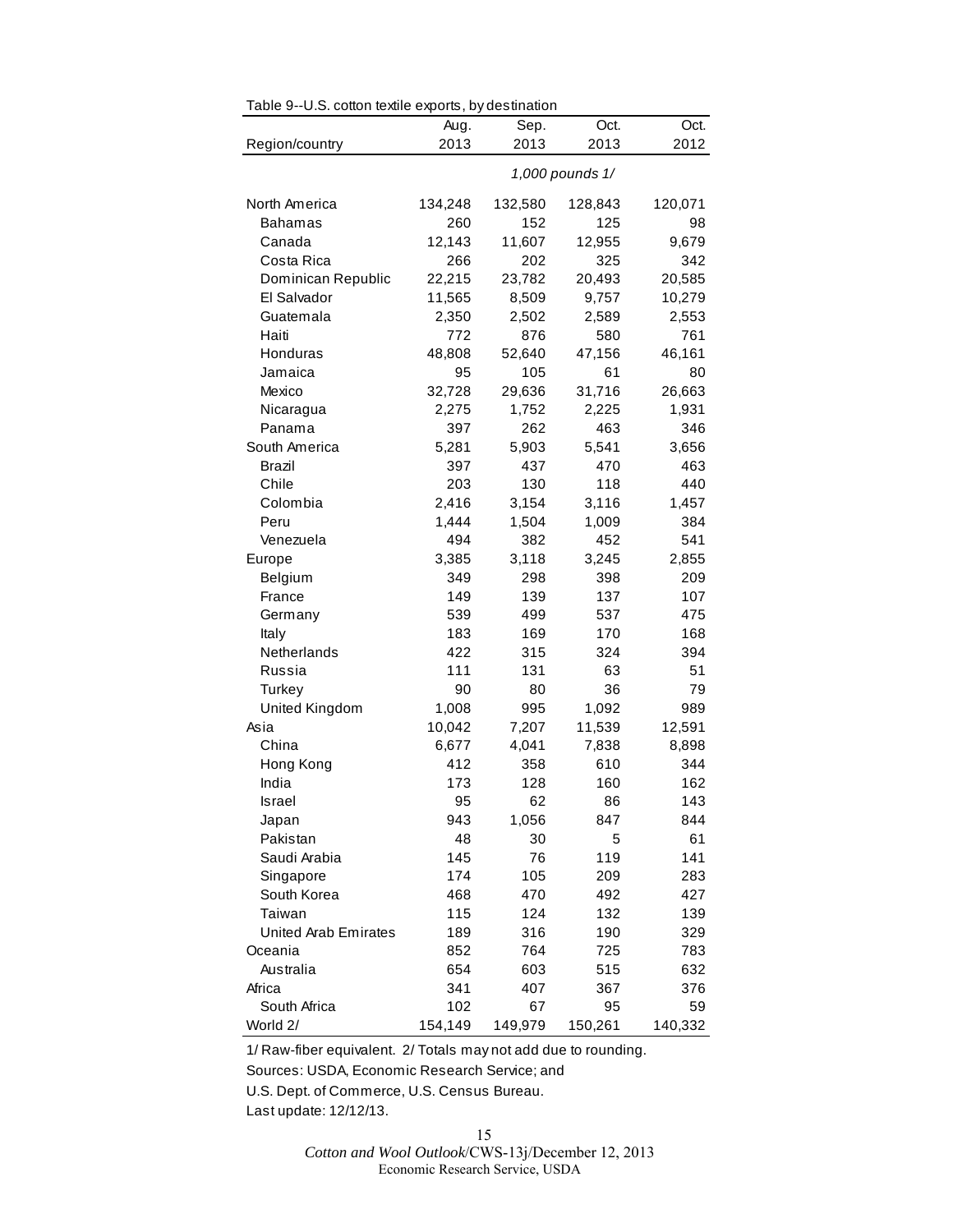|                             | Aug.    | Sep.    | Oct.            | Oct.    |
|-----------------------------|---------|---------|-----------------|---------|
| Region/country              | 2013    | 2013    | 2013            | 2012    |
|                             |         |         | 1,000 pounds 1/ |         |
| North America               | 134,248 | 132,580 | 128,843         | 120,071 |
| Bahamas                     | 260     | 152     | 125             | 98      |
| Canada                      | 12,143  | 11,607  | 12,955          | 9,679   |
| Costa Rica                  | 266     | 202     | 325             | 342     |
| Dominican Republic          | 22,215  | 23,782  | 20,493          | 20,585  |
| El Salvador                 | 11,565  | 8,509   | 9,757           | 10,279  |
| Guatemala                   | 2,350   | 2,502   | 2,589           | 2,553   |
| Haiti                       | 772     | 876     | 580             | 761     |
| Honduras                    | 48,808  | 52,640  | 47,156          | 46,161  |
| Jamaica                     | 95      | 105     | 61              | 80      |
| Mexico                      | 32,728  | 29,636  | 31,716          | 26,663  |
| Nicaragua                   | 2,275   | 1,752   | 2,225           | 1,931   |
| Panama                      | 397     | 262     | 463             | 346     |
| South America               | 5,281   | 5,903   | 5,541           | 3,656   |
| Brazil                      | 397     | 437     | 470             | 463     |
| Chile                       | 203     | 130     | 118             | 440     |
| Colombia                    | 2,416   | 3,154   | 3,116           | 1,457   |
| Peru                        | 1,444   | 1,504   | 1,009           | 384     |
| Venezuela                   | 494     | 382     | 452             | 541     |
| Europe                      | 3,385   | 3,118   | 3,245           | 2,855   |
| Belgium                     | 349     | 298     | 398             | 209     |
| France                      | 149     | 139     | 137             | 107     |
| Germany                     | 539     | 499     | 537             | 475     |
| Italy                       | 183     | 169     | 170             | 168     |
| Netherlands                 | 422     | 315     | 324             | 394     |
| Russia                      | 111     | 131     | 63              | 51      |
| Turkey                      | 90      | 80      | 36              | 79      |
| United Kingdom              | 1,008   | 995     | 1,092           | 989     |
| Asia                        | 10,042  | 7,207   | 11,539          | 12,591  |
| China                       | 6,677   | 4,041   | 7,838           | 8,898   |
| Hong Kong                   | 412     | 358     | 610             | 344     |
| India                       | 173     | 128     | 160             | 162     |
| Israel                      | 95      | 62      | 86              | 143     |
| Japan                       | 943     | 1,056   | 847             | 844     |
| Pakistan                    | 48      | 30      | 5               | 61      |
| Saudi Arabia                | 145     | 76      | 119             | 141     |
| Singapore                   | 174     | 105     | 209             | 283     |
| South Korea                 | 468     | 470     | 492             | 427     |
| Taiwan                      | 115     | 124     | 132             | 139     |
| <b>United Arab Emirates</b> | 189     | 316     | 190             | 329     |
| Oceania                     | 852     | 764     | 725             | 783     |
| Australia                   | 654     | 603     | 515             | 632     |
| Africa                      | 341     | 407     | 367             | 376     |
| South Africa                | 102     | 67      | 95              | 59      |
| World 2/                    | 154,149 | 149,979 | 150,261         | 140,332 |

Table 9--U.S. cotton textile exports, by destination

1/ Raw-fiber equivalent. 2/ Totals may not add due to rounding.

Sources: USDA, Economic Research Service; and

U.S. Dept. of Commerce, U.S. Census Bureau.

Last update: 12/12/13.

*Cotton and Wool Outlook*/CWS-13j/December 12, 2013 Economic Research Service, USDA